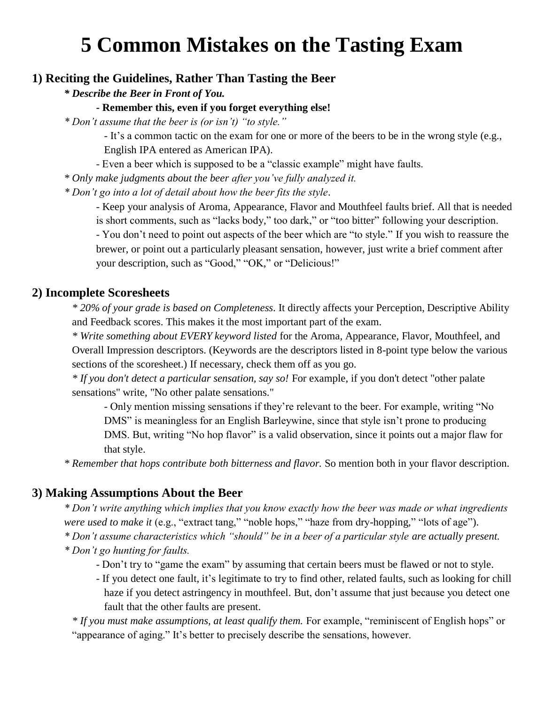# **5 Common Mistakes on the Tasting Exam**

## **1) Reciting the Guidelines, Rather Than Tasting the Beer**

*\* Describe the Beer in Front of You.*

#### **- Remember this, even if you forget everything else!**

*\* Don't assume that the beer is (or isn't) "to style."*

- It's a common tactic on the exam for one or more of the beers to be in the wrong style (e.g., English IPA entered as American IPA).

- Even a beer which is supposed to be a "classic example" might have faults.

*\* Only make judgments about the beer after you've fully analyzed it.*

*\* Don't go into a lot of detail about how the beer fits the style.*

- Keep your analysis of Aroma, Appearance, Flavor and Mouthfeel faults brief. All that is needed is short comments, such as "lacks body," too dark," or "too bitter" following your description. - You don't need to point out aspects of the beer which are "to style." If you wish to reassure the brewer, or point out a particularly pleasant sensation, however, just write a brief comment after your description, such as "Good," "OK," or "Delicious!"

### **2) Incomplete Scoresheets**

*\* 20% of your grade is based on Completeness.* It directly affects your Perception, Descriptive Ability and Feedback scores. This makes it the most important part of the exam.

*\* Write something about EVERY keyword listed* for the Aroma, Appearance, Flavor, Mouthfeel, and Overall Impression descriptors. (Keywords are the descriptors listed in 8-point type below the various sections of the scoresheet.) If necessary, check them off as you go.

*\* If you don't detect a particular sensation, say so!* For example, if you don't detect "other palate sensations" write, "No other palate sensations."

- Only mention missing sensations if they're relevant to the beer. For example, writing "No DMS" is meaningless for an English Barleywine, since that style isn't prone to producing DMS. But, writing "No hop flavor" is a valid observation, since it points out a major flaw for that style.

*\* Remember that hops contribute both bitterness and flavor.* So mention both in your flavor description.

#### **3) Making Assumptions About the Beer**

*\* Don't write anything which implies that you know exactly how the beer was made or what ingredients were used to make it* (e.g., "extract tang," "noble hops," "haze from dry-hopping," "lots of age").

*\* Don't assume characteristics which "should" be in a beer of a particular style are actually present.*

*\* Don't go hunting for faults.*

- Don't try to "game the exam" by assuming that certain beers must be flawed or not to style.
- If you detect one fault, it's legitimate to try to find other, related faults, such as looking for chill haze if you detect astringency in mouthfeel. But, don't assume that just because you detect one fault that the other faults are present.

*\* If you must make assumptions, at least qualify them.* For example, "reminiscent of English hops" or "appearance of aging." It's better to precisely describe the sensations, however.